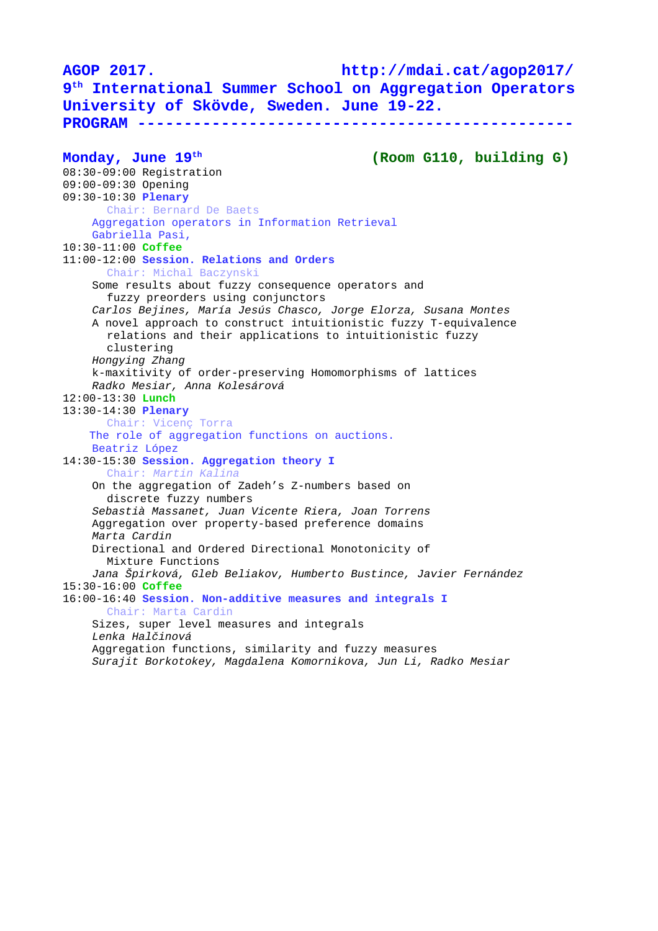**AGOP 2017. http://mdai.cat/agop2017/ 9 th International Summer School on Aggregation Operators University of Skövde, Sweden. June 19-22. PROGRAM ----------------------------------------------- Monday, June 19th (Room G110, building G)** 08:30-09:00 Registration 09:00-09:30 Opening 09:30-10:30 **Plenary**  Chair: Bernard De Baets Aggregation operators in Information Retrieval Gabriella Pasi, 10:30-11:00 **Coffee** 11:00-12:00 **Session. Relations and Orders** Chair: Michal Baczynski Some results about fuzzy consequence operators and fuzzy preorders using conjunctors *Carlos Bejines, María Jesús Chasco, Jorge Elorza, Susana Montes* A novel approach to construct intuitionistic fuzzy T-equivalence relations and their applications to intuitionistic fuzzy clustering *Hongying Zhang* k-maxitivity of order-preserving Homomorphisms of lattices *Radko Mesiar, Anna Kolesárová* 12:00-13:30 **Lunch** 13:30-14:30 **Plenary** Chair: Vicenç Torra The role of aggregation functions on auctions. Beatriz López 14:30-15:30 **Session. Aggregation theory I** Chair: *Martin Kalina* On the aggregation of Zadeh's Z-numbers based on discrete fuzzy numbers *Sebastià Massanet, Juan Vicente Riera, Joan Torrens* Aggregation over property-based preference domains *Marta Cardin* Directional and Ordered Directional Monotonicity of Mixture Functions *Jana Špirková, Gleb Beliakov, Humberto Bustince, Javier Fernández* 15:30-16:00 **Coffee** 16:00-16:40 **Session. Non-additive measures and integrals I** Chair: Marta Cardin Sizes, super level measures and integrals *Lenka Halčinová* Aggregation functions, similarity and fuzzy measures *Surajit Borkotokey, Magdalena Komornikova, Jun Li, Radko Mesiar*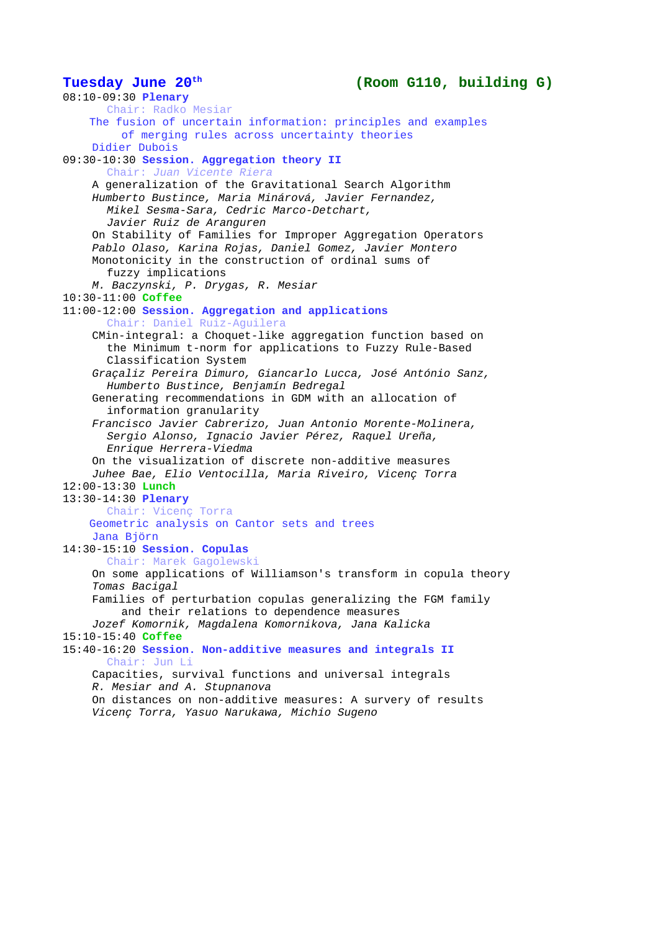## **Tuesday June 20th (Room G110, building G)**

08:10-09:30 **Plenary** Chair: Radko Mesiar The fusion of uncertain information: principles and examples of merging rules across uncertainty theories Didier Dubois 09:30-10:30 **Session. Aggregation theory II** Chair: *Juan Vicente Riera* A generalization of the Gravitational Search Algorithm *Humberto Bustince, Maria Minárová, Javier Fernandez, Mikel Sesma-Sara, Cedric Marco-Detchart, Javier Ruiz de Aranguren* On Stability of Families for Improper Aggregation Operators *Pablo Olaso, Karina Rojas, Daniel Gomez, Javier Montero* Monotonicity in the construction of ordinal sums of fuzzy implications *M. Baczynski, P. Drygas, R. Mesiar* 10:30-11:00 **Coffee** 11:00-12:00 **Session. Aggregation and applications** Chair: Daniel Ruiz-Aguilera CMin-integral: a Choquet-like aggregation function based on the Minimum t-norm for applications to Fuzzy Rule-Based Classification System *Graçaliz Pereira Dimuro, Giancarlo Lucca, José António Sanz, Humberto Bustince, Benjamín Bedregal* Generating recommendations in GDM with an allocation of information granularity *Francisco Javier Cabrerizo, Juan Antonio Morente-Molinera, Sergio Alonso, Ignacio Javier Pérez, Raquel Ureña, Enrique Herrera-Viedma* On the visualization of discrete non-additive measures *Juhee Bae, Elio Ventocilla, Maria Riveiro, Vicenç Torra* 12:00-13:30 **Lunch** 13:30-14:30 **Plenary** Chair: Vicenç Torra Geometric analysis on Cantor sets and trees Jana Björn 14:30-15:10 **Session. Copulas** Chair: Marek Gagolewski On some applications of Williamson's transform in copula theory *Tomas Bacigal* Families of perturbation copulas generalizing the FGM family and their relations to dependence measures *Jozef Komornik, Magdalena Komornikova, Jana Kalicka* 15:10-15:40 **Coffee** 15:40-16:20 **Session. Non-additive measures and integrals II** Chair: Jun Li Capacities, survival functions and universal integrals *R. Mesiar and A. Stupnanova* On distances on non-additive measures: A survery of results *Vicenç Torra, Yasuo Narukawa, Michio Sugeno*